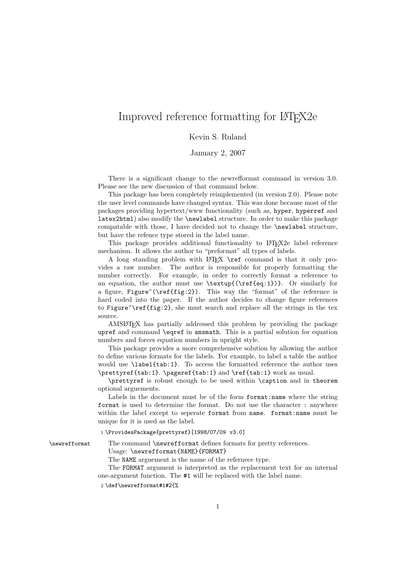## Improved reference formatting for LAT<sub>E</sub>X2e

## Kevin S. Ruland

January 2, 2007

There is a significant change to the newrefformat command in version 3.0. Please see the new discussion of that command below.

This package has been completely reimplemented (in version 2.0). Please note the user level commands have changed syntax. This was done because most of the packages providing hypertext/www functionality (such as, hyper, hyperref and latex2html) also modify the \newlabel structure. In order to make this package compatable with those, I have decided not to change the \newlabel structure, but have the refence type stored in the label name.

This package provides additional functionality to LATEX2e label–reference mechanism. It allows the author to "preformat" all types of labels.

A long standing problem with LAT<sub>EX</sub> \ref command is that it only provides a raw number. The author is responsible for properly formatting the number correctly. For example, in order to correctly format a reference to an equation, the author must use  $\text{(\ref{eq:1})}.$  Or similarly for a figure, Figure<sup> $\text{fig:2}$ </sup>). This way the "format" of the reference is hard coded into the paper. If the author decides to change figure references to Figure $\text{Treff}(\text{fig:2})$ , she must search and replace all the strings in the tex source.

AMSLATEX has partially addressed this problem by providing the package upref and command \eqref in amsmath. This is a partial solution for equation numbers and forces equation numbers in upright style.

This package provides a more comprehensive solution by allowing the author to define various formats for the labels. For example, to label a table the author would use \label{tab:1}. To access the formatted reference the author uses \prettyref{tab:1}. \pageref{tab:1} and \ref{tab:1} work as usual.

\prettyref is robust enough to be used within \caption and in theorem optional arguements.

Labels in the document must be of the form format:name where the string format is used to determine the format. Do not use the character : anywhere within the label except to seperate format from name. format:name must be unique for it is used as the label.

1 \ProvidesPackage{prettyref}[1998/07/09 v3.0]

\newrefformat The command \newrefformat defines formats for pretty references.

Usage: \newrefformat{NAME}{FORMAT}

The NAME arguement is the name of the refernece type.

The FORMAT argument is interpreted as the replacement text for an internal one-argument function. The #1 will be replaced with the label name.

2 \def\newrefformat#1#2{%